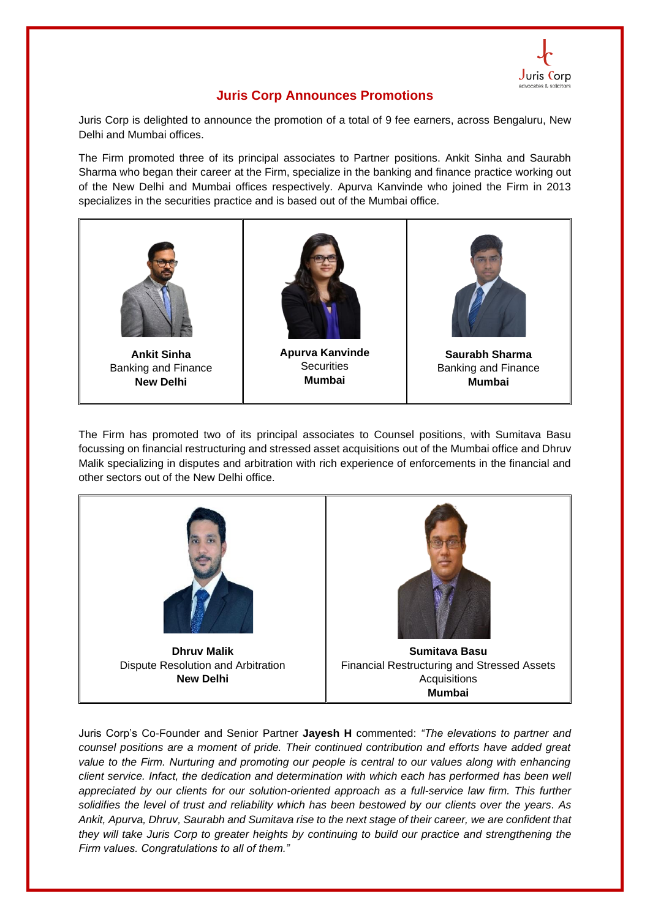

## **Juris Corp Announces Promotions**

Juris Corp is delighted to announce the promotion of a total of 9 fee earners, across Bengaluru, New Delhi and Mumbai offices.

The Firm promoted three of its principal associates to Partner positions. Ankit Sinha and Saurabh Sharma who began their career at the Firm, specialize in the banking and finance practice working out of the New Delhi and Mumbai offices respectively. Apurva Kanvinde who joined the Firm in 2013 specializes in the securities practice and is based out of the Mumbai office.



The Firm has promoted two of its principal associates to Counsel positions, with Sumitava Basu focussing on financial restructuring and stressed asset acquisitions out of the Mumbai office and Dhruv Malik specializing in disputes and arbitration with rich experience of enforcements in the financial and other sectors out of the New Delhi office.



Juris Corp's Co-Founder and Senior Partner **Jayesh H** commented: *"The elevations to partner and counsel positions are a moment of pride. Their continued contribution and efforts have added great value to the Firm. Nurturing and promoting our people is central to our values along with enhancing client service. Infact, the dedication and determination with which each has performed has been well appreciated by our clients for our solution-oriented approach as a full-service law firm. This further solidifies the level of trust and reliability which has been bestowed by our clients over the years. As Ankit, Apurva, Dhruv, Saurabh and Sumitava rise to the next stage of their career, we are confident that they will take Juris Corp to greater heights by continuing to build our practice and strengthening the Firm values. Congratulations to all of them."*